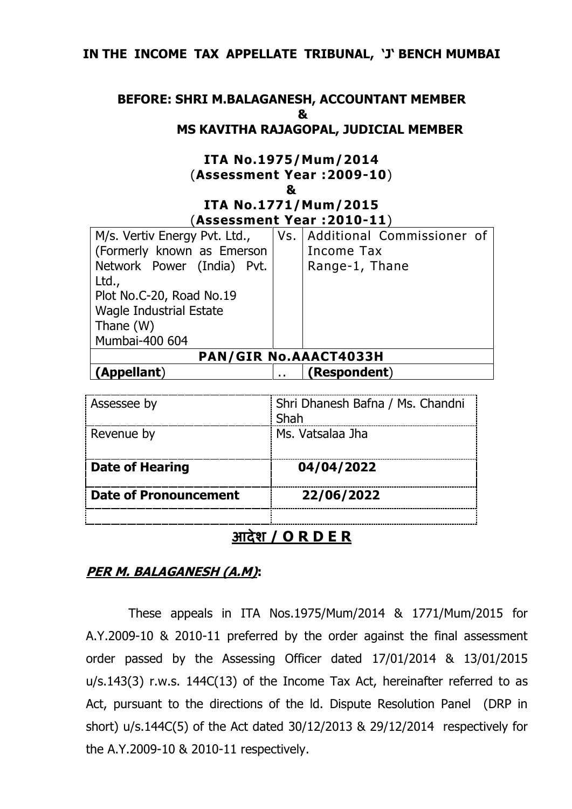### **IN THE INCOME TAX APPELLATE TRIBUNAL, 'J' BENCH MUMBAI**

#### **BEFORE: SHRI M.BALAGANESH, ACCOUNTANT MEMBER & MS KAVITHA RAJAGOPAL, JUDICIAL MEMBER**

# **ITA No.1975/Mum/2014** (**Assessment Year :2009-10**)

#### **& ITA No.1771/Mum/2015** (**Assessment Year :2010-11**)

| M/s. Vertiv Energy Pvt. Ltd.,  |  | Vs.   Additional Commissioner of |
|--------------------------------|--|----------------------------------|
| (Formerly known as Emerson     |  | Income Tax                       |
| Network Power (India) Pvt.     |  | Range-1, Thane                   |
| Ltd.,                          |  |                                  |
| Plot No.C-20, Road No.19       |  |                                  |
| <b>Wagle Industrial Estate</b> |  |                                  |
| Thane (W)                      |  |                                  |
| Mumbai-400 604                 |  |                                  |
| <b>PAN/GIR No.AAACT4033H</b>   |  |                                  |
| (Appellant)                    |  | (Respondent)                     |

| Assessee by                  | Shri Dhanesh Bafna / Ms. Chandni<br>Shah |
|------------------------------|------------------------------------------|
| Revenue by                   | Ms. Vatsalaa Jha                         |
| <b>Date of Hearing</b>       | 04/04/2022                               |
| <b>Date of Pronouncement</b> | 22/06/2022                               |
|                              |                                          |

## **आदेश / O R D E R**

### **PER M. BALAGANESH (A.M):**

These appeals in ITA Nos.1975/Mum/2014 & 1771/Mum/2015 for A.Y.2009-10 & 2010-11 preferred by the order against the final assessment order passed by the Assessing Officer dated 17/01/2014 & 13/01/2015 u/s.143(3) r.w.s. 144C(13) of the Income Tax Act, hereinafter referred to as Act, pursuant to the directions of the ld. Dispute Resolution Panel (DRP in short) u/s.144C(5) of the Act dated 30/12/2013 & 29/12/2014 respectively for the A.Y.2009-10 & 2010-11 respectively.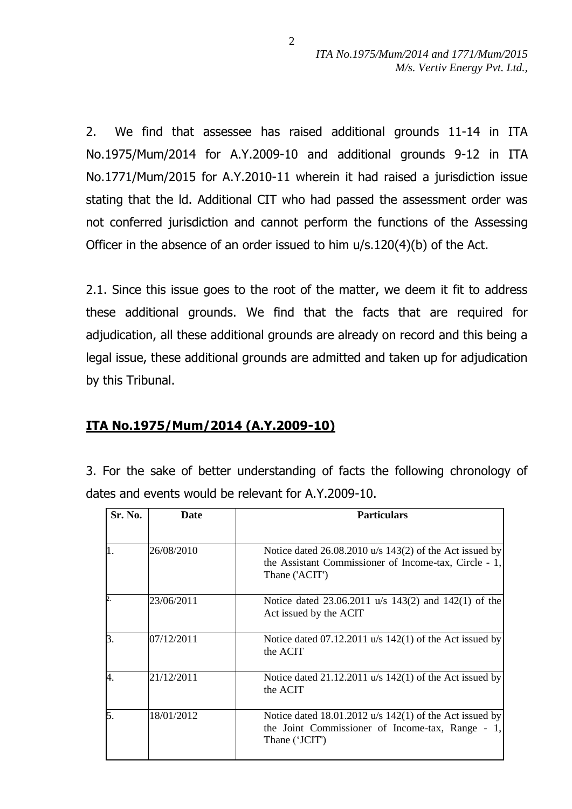2. We find that assessee has raised additional grounds 11-14 in ITA No.1975/Mum/2014 for A.Y.2009-10 and additional grounds 9-12 in ITA No.1771/Mum/2015 for A.Y.2010-11 wherein it had raised a jurisdiction issue stating that the ld. Additional CIT who had passed the assessment order was not conferred jurisdiction and cannot perform the functions of the Assessing Officer in the absence of an order issued to him u/s.120(4)(b) of the Act.

2.1. Since this issue goes to the root of the matter, we deem it fit to address these additional grounds. We find that the facts that are required for adjudication, all these additional grounds are already on record and this being a legal issue, these additional grounds are admitted and taken up for adjudication by this Tribunal.

### **ITA No.1975/Mum/2014 (A.Y.2009-10)**

3. For the sake of better understanding of facts the following chronology of dates and events would be relevant for A.Y.2009-10.

| Sr. No. | <b>Date</b> | <b>Particulars</b>                                                                                                                     |
|---------|-------------|----------------------------------------------------------------------------------------------------------------------------------------|
|         | 26/08/2010  | Notice dated $26.08.2010$ u/s $143(2)$ of the Act issued by<br>the Assistant Commissioner of Income-tax, Circle - 1,<br>Thane ('ACIT') |
| 2.      | 23/06/2011  | Notice dated 23.06.2011 u/s 143(2) and 142(1) of the<br>Act issued by the ACIT                                                         |
| Β.      | 07/12/2011  | Notice dated $07.12.2011$ u/s $142(1)$ of the Act issued by<br>the ACIT                                                                |
| 4.      | 21/12/2011  | Notice dated $21.12.2011$ u/s $142(1)$ of the Act issued by<br>the ACIT                                                                |
| 5.      | 18/01/2012  | Notice dated 18.01.2012 $u/s$ 142(1) of the Act issued by<br>the Joint Commissioner of Income-tax, Range - 1,<br>Thane ('JCIT')        |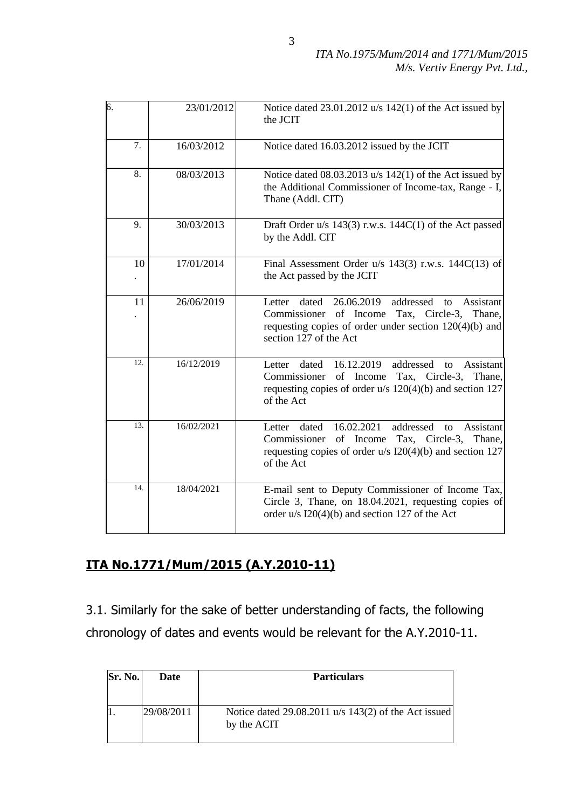| 6.                | 23/01/2012 | Notice dated 23.01.2012 u/s 142(1) of the Act issued by<br>the JCIT                                                                                                                                 |
|-------------------|------------|-----------------------------------------------------------------------------------------------------------------------------------------------------------------------------------------------------|
| 7.                | 16/03/2012 | Notice dated 16.03.2012 issued by the JCIT                                                                                                                                                          |
| 8.                | 08/03/2013 | Notice dated $08.03.2013$ u/s $142(1)$ of the Act issued by<br>the Additional Commissioner of Income-tax, Range - I,<br>Thane (Addl. CIT)                                                           |
| 9.                | 30/03/2013 | Draft Order $u/s$ 143(3) r.w.s. 144C(1) of the Act passed<br>by the Addl. CIT                                                                                                                       |
| 10                | 17/01/2014 | Final Assessment Order $u/s$ 143(3) r.w.s. 144C(13) of<br>the Act passed by the JCIT                                                                                                                |
| 11                | 26/06/2019 | 26.06.2019<br>dated<br>addressed<br>Assistant<br>Letter<br>to<br>Commissioner of Income Tax, Circle-3, Thane,<br>requesting copies of order under section $120(4)(b)$ and<br>section 127 of the Act |
| $\overline{12}$ . | 16/12/2019 | 16.12.2019<br>addressed<br>Assistant<br>Letter<br>dated<br>to<br>of Income<br>Commissioner<br>Tax, Circle-3,<br>Thane,<br>requesting copies of order u/s 120(4)(b) and section 127<br>of the Act    |
| 13.               | 16/02/2021 | 16.02.2021<br>Assistant<br>Letter dated<br>addressed<br>to<br>Commissioner of Income<br>Tax, Circle-3, Thane,<br>requesting copies of order $u/s$ I20(4)(b) and section 127<br>of the Act           |
| 14.               | 18/04/2021 | E-mail sent to Deputy Commissioner of Income Tax,<br>Circle 3, Thane, on 18.04.2021, requesting copies of<br>order $u/s$ I20(4)(b) and section 127 of the Act                                       |

# **ITA No.1771/Mum/2015 (A.Y.2010-11)**

3.1. Similarly for the sake of better understanding of facts, the following chronology of dates and events would be relevant for the A.Y.2010-11.

| <b>Sr. No.</b> | <b>Date</b> | <b>Particulars</b>                                                      |
|----------------|-------------|-------------------------------------------------------------------------|
|                | 29/08/2011  | Notice dated $29.08.2011$ u/s $143(2)$ of the Act issued<br>by the ACIT |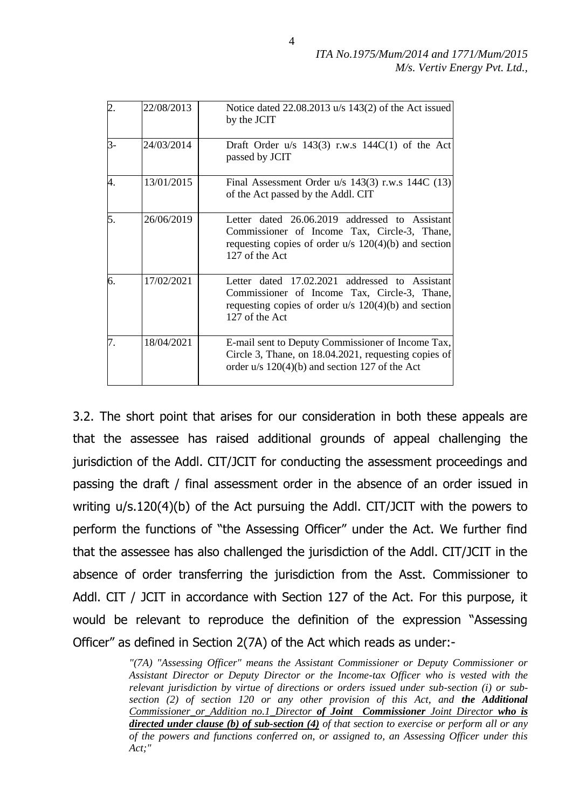|                  | 22/08/2013 | Notice dated $22.08.2013$ u/s $143(2)$ of the Act issued<br>by the JCIT                                                                                                    |
|------------------|------------|----------------------------------------------------------------------------------------------------------------------------------------------------------------------------|
| $\overline{3}$ - | 24/03/2014 | Draft Order $u/s$ 143(3) r.w.s 144 $C(1)$ of the Act<br>passed by JCIT                                                                                                     |
| 4.               | 13/01/2015 | Final Assessment Order $u/s$ 143(3) r.w.s 144C (13)<br>of the Act passed by the Addl. CIT                                                                                  |
| 5.               | 26/06/2019 | Letter dated 26.06.2019 addressed to Assistant<br>Commissioner of Income Tax, Circle-3, Thane,<br>requesting copies of order $u/s$ 120(4)(b) and section<br>127 of the Act |
| 6.               | 17/02/2021 | Letter dated 17.02.2021 addressed to Assistant<br>Commissioner of Income Tax, Circle-3, Thane,<br>requesting copies of order $u/s$ 120(4)(b) and section<br>127 of the Act |
| 7.               | 18/04/2021 | E-mail sent to Deputy Commissioner of Income Tax,<br>Circle 3, Thane, on 18.04.2021, requesting copies of<br>order $u/s$ 120(4)(b) and section 127 of the Act              |

3.2. The short point that arises for our consideration in both these appeals are that the assessee has raised additional grounds of appeal challenging the jurisdiction of the Addl. CIT/JCIT for conducting the assessment proceedings and passing the draft / final assessment order in the absence of an order issued in writing u/s.120(4)(b) of the Act pursuing the Addl. CIT/JCIT with the powers to perform the functions of "the Assessing Officer" under the Act. We further find that the assessee has also challenged the jurisdiction of the Addl. CIT/JCIT in the absence of order transferring the jurisdiction from the Asst. Commissioner to Addl. CIT / JCIT in accordance with Section 127 of the Act. For this purpose, it would be relevant to reproduce the definition of the expression "Assessing Officer" as defined in Section 2(7A) of the Act which reads as under:-

> *"(7A) "Assessing Officer" means the Assistant Commissioner or Deputy Commissioner or Assistant Director or Deputy Director or the Income-tax Officer who is vested with the relevant jurisdiction by virtue of directions or orders issued under sub-section (i) or subsection (2) of section 120 or any other provision of this Act, and the Additional Commissioner\_or\_Addition no.1\_Director of Joint Commissioner Joint Director who is directed under clause (b) of sub-section (4) of that section to exercise or perform all or any of the powers and functions conferred on, or assigned to, an Assessing Officer under this Act;"*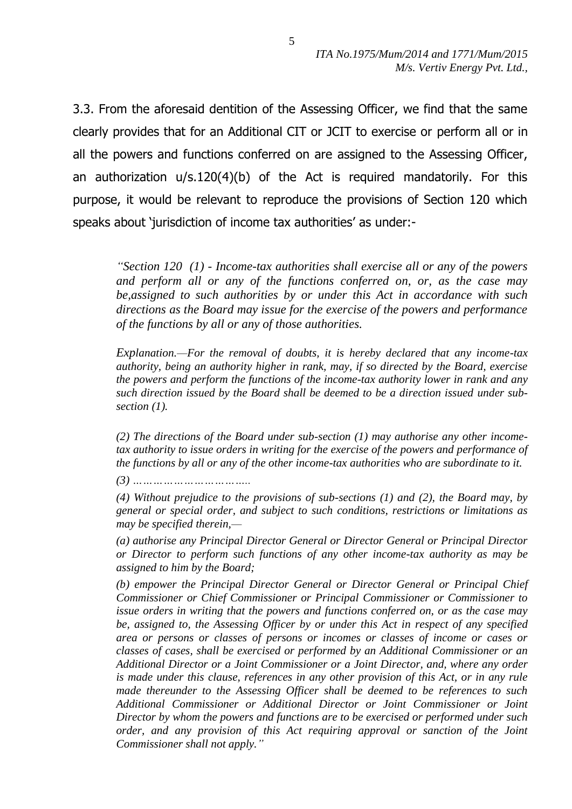3.3. From the aforesaid dentition of the Assessing Officer, we find that the same clearly provides that for an Additional CIT or JCIT to exercise or perform all or in all the powers and functions conferred on are assigned to the Assessing Officer, an authorization u/s.120(4)(b) of the Act is required mandatorily. For this purpose, it would be relevant to reproduce the provisions of Section 120 which speaks about 'jurisdiction of income tax authorities' as under:-

*"Section 120 (1) - Income-tax authorities shall exercise all or any of the powers and perform all or any of the functions conferred on, or, as the case may be,assigned to such authorities by or under this Act in accordance with such directions as the Board may issue for the exercise of the powers and performance of the functions by all or any of those authorities.* 

*Explanation.—For the removal of doubts, it is hereby declared that any income-tax authority, being an authority higher in rank, may, if so directed by the Board, exercise the powers and perform the functions of the income-tax authority lower in rank and any such direction issued by the Board shall be deemed to be a direction issued under subsection (1).*

*(2) The directions of the Board under sub-section (1) may authorise any other incometax authority to issue orders in writing for the exercise of the powers and performance of the functions by all or any of the other income-tax authorities who are subordinate to it.*

*(3) ……………………………..*

*(4) Without prejudice to the provisions of sub-sections (1) and (2), the Board may, by general or special order, and subject to such conditions, restrictions or limitations as may be specified therein,—*

*(a) authorise any Principal Director General or Director General or Principal Director or Director to perform such functions of any other income-tax authority as may be assigned to him by the Board;*

*(b) empower the Principal Director General or Director General or Principal Chief Commissioner or Chief Commissioner or Principal Commissioner or Commissioner to issue orders in writing that the powers and functions conferred on, or as the case may be, assigned to, the Assessing Officer by or under this Act in respect of any specified area or persons or classes of persons or incomes or classes of income or cases or classes of cases, shall be exercised or performed by an Additional Commissioner or an Additional Director or a Joint Commissioner or a Joint Director, and, where any order is made under this clause, references in any other provision of this Act, or in any rule made thereunder to the Assessing Officer shall be deemed to be references to such Additional Commissioner or Additional Director or Joint Commissioner or Joint Director by whom the powers and functions are to be exercised or performed under such order, and any provision of this Act requiring approval or sanction of the Joint Commissioner shall not apply."*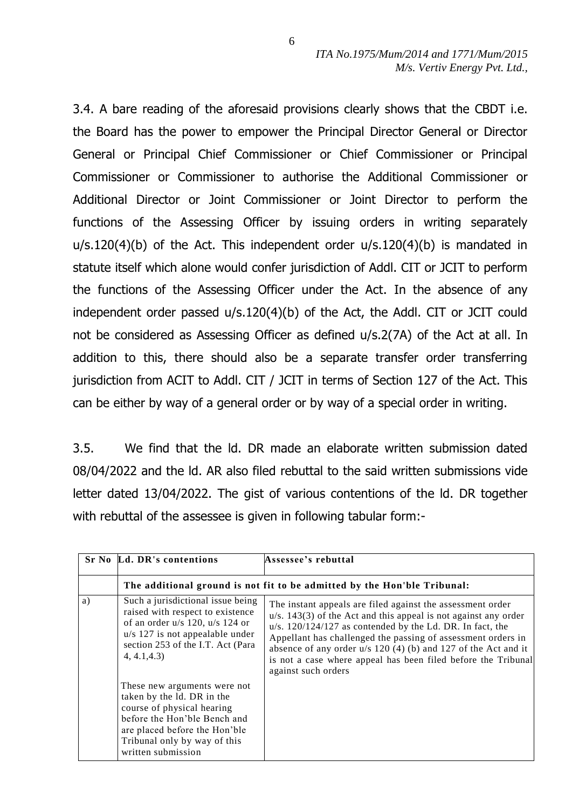3.4. A bare reading of the aforesaid provisions clearly shows that the CBDT i.e. the Board has the power to empower the Principal Director General or Director General or Principal Chief Commissioner or Chief Commissioner or Principal Commissioner or Commissioner to authorise the Additional Commissioner or Additional Director or Joint Commissioner or Joint Director to perform the functions of the Assessing Officer by issuing orders in writing separately u/s.120(4)(b) of the Act. This independent order u/s.120(4)(b) is mandated in statute itself which alone would confer jurisdiction of Addl. CIT or JCIT to perform the functions of the Assessing Officer under the Act. In the absence of any independent order passed u/s.120(4)(b) of the Act, the Addl. CIT or JCIT could not be considered as Assessing Officer as defined u/s.2(7A) of the Act at all. In addition to this, there should also be a separate transfer order transferring jurisdiction from ACIT to Addl. CIT / JCIT in terms of Section 127 of the Act. This can be either by way of a general order or by way of a special order in writing.

3.5. We find that the ld. DR made an elaborate written submission dated 08/04/2022 and the ld. AR also filed rebuttal to the said written submissions vide letter dated 13/04/2022. The gist of various contentions of the ld. DR together with rebuttal of the assessee is given in following tabular form:-

|    | Sr No Ld. DR's contentions                                                                                                                                                                                      | Assessee's rebuttal                                                                                                                                                                                                                                                                                                                                                                                                          |
|----|-----------------------------------------------------------------------------------------------------------------------------------------------------------------------------------------------------------------|------------------------------------------------------------------------------------------------------------------------------------------------------------------------------------------------------------------------------------------------------------------------------------------------------------------------------------------------------------------------------------------------------------------------------|
|    |                                                                                                                                                                                                                 | The additional ground is not fit to be admitted by the Hon'ble Tribunal:                                                                                                                                                                                                                                                                                                                                                     |
| a) | Such a jurisdictional issue being<br>raised with respect to existence<br>of an order $u/s$ 120, $u/s$ 124 or<br>$u/s$ 127 is not appealable under<br>section 253 of the I.T. Act (Para<br>4, 4.1, 4.3           | The instant appeals are filed against the assessment order<br>$u/s$ . 143(3) of the Act and this appeal is not against any order<br>$u/s$ . 120/124/127 as contended by the Ld. DR. In fact, the<br>Appellant has challenged the passing of assessment orders in<br>absence of any order $u/s$ 120 (4) (b) and 127 of the Act and it<br>is not a case where appeal has been filed before the Tribunal<br>against such orders |
|    | These new arguments were not<br>taken by the ld. DR in the<br>course of physical hearing<br>before the Hon'ble Bench and<br>are placed before the Hon'ble<br>Tribunal only by way of this<br>written submission |                                                                                                                                                                                                                                                                                                                                                                                                                              |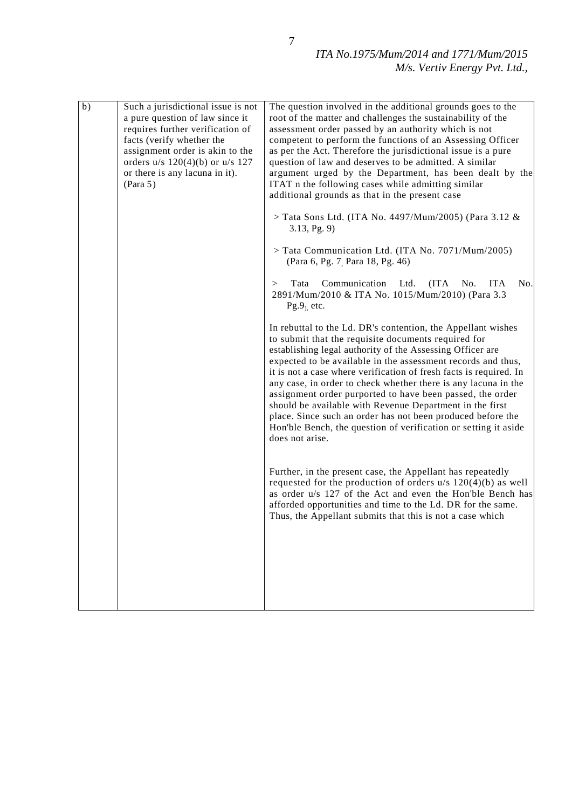| $\overline{b)}$ | Such a jurisdictional issue is not<br>a pure question of law since it<br>requires further verification of<br>facts (verify whether the<br>assignment order is akin to the<br>orders $u/s$ 120(4)(b) or $u/s$ 127<br>or there is any lacuna in it).<br>(Para 5) | The question involved in the additional grounds goes to the<br>root of the matter and challenges the sustainability of the<br>assessment order passed by an authority which is not<br>competent to perform the functions of an Assessing Officer<br>as per the Act. Therefore the jurisdictional issue is a pure<br>question of law and deserves to be admitted. A similar<br>argument urged by the Department, has been dealt by the<br>ITAT n the following cases while admitting similar<br>additional grounds as that in the present case<br>$>$ Tata Sons Ltd. (ITA No. 4497/Mum/2005) (Para 3.12 &<br>3.13, Pg. 9<br>> Tata Communication Ltd. (ITA No. 7071/Mum/2005)<br>(Para 6, Pg. 7 <sub>, Para</sub> 18, Pg. 46)<br>Communication<br><b>ITA</b><br>No.<br>Tata<br>Ltd.<br>(ITA)<br>No.<br>><br>2891/Mum/2010 & ITA No. 1015/Mum/2010) (Para 3.3<br>$Pg.9$ , etc.<br>In rebuttal to the Ld. DR's contention, the Appellant wishes<br>to submit that the requisite documents required for<br>establishing legal authority of the Assessing Officer are<br>expected to be available in the assessment records and thus,<br>it is not a case where verification of fresh facts is required. In<br>any case, in order to check whether there is any lacuna in the<br>assignment order purported to have been passed, the order<br>should be available with Revenue Department in the first<br>place. Since such an order has not been produced before the<br>Hon'ble Bench, the question of verification or setting it aside<br>does not arise.<br>Further, in the present case, the Appellant has repeatedly<br>requested for the production of orders $u/s$ 120(4)(b) as well<br>as order u/s 127 of the Act and even the Hon'ble Bench has<br>afforded opportunities and time to the Ld. DR for the same.<br>Thus, the Appellant submits that this is not a case which |
|-----------------|----------------------------------------------------------------------------------------------------------------------------------------------------------------------------------------------------------------------------------------------------------------|----------------------------------------------------------------------------------------------------------------------------------------------------------------------------------------------------------------------------------------------------------------------------------------------------------------------------------------------------------------------------------------------------------------------------------------------------------------------------------------------------------------------------------------------------------------------------------------------------------------------------------------------------------------------------------------------------------------------------------------------------------------------------------------------------------------------------------------------------------------------------------------------------------------------------------------------------------------------------------------------------------------------------------------------------------------------------------------------------------------------------------------------------------------------------------------------------------------------------------------------------------------------------------------------------------------------------------------------------------------------------------------------------------------------------------------------------------------------------------------------------------------------------------------------------------------------------------------------------------------------------------------------------------------------------------------------------------------------------------------------------------------------------------------------------------------------------------------------------------------------------------|
|                 |                                                                                                                                                                                                                                                                |                                                                                                                                                                                                                                                                                                                                                                                                                                                                                                                                                                                                                                                                                                                                                                                                                                                                                                                                                                                                                                                                                                                                                                                                                                                                                                                                                                                                                                                                                                                                                                                                                                                                                                                                                                                                                                                                                  |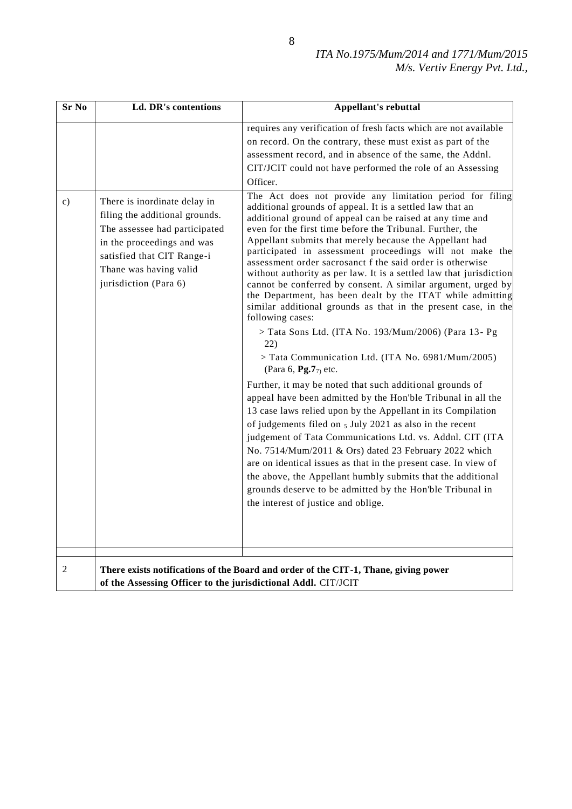| <b>Sr No</b>  | Ld. DR's contentions                                                                                                                                                                                           | <b>Appellant's rebuttal</b>                                                                                                                                                                                                                                                                                                                                                                                                                                                                                                                                                                                                                                                                                                                                                                                                                                                                                                                                                           |
|---------------|----------------------------------------------------------------------------------------------------------------------------------------------------------------------------------------------------------------|---------------------------------------------------------------------------------------------------------------------------------------------------------------------------------------------------------------------------------------------------------------------------------------------------------------------------------------------------------------------------------------------------------------------------------------------------------------------------------------------------------------------------------------------------------------------------------------------------------------------------------------------------------------------------------------------------------------------------------------------------------------------------------------------------------------------------------------------------------------------------------------------------------------------------------------------------------------------------------------|
| $\mathbf{c})$ | There is inordinate delay in<br>filing the additional grounds.<br>The assessee had participated<br>in the proceedings and was<br>satisfied that CIT Range-i<br>Thane was having valid<br>jurisdiction (Para 6) | requires any verification of fresh facts which are not available<br>on record. On the contrary, these must exist as part of the<br>assessment record, and in absence of the same, the Addnl.<br>CIT/JCIT could not have performed the role of an Assessing<br>Officer.<br>The Act does not provide any limitation period for filing<br>additional grounds of appeal. It is a settled law that an<br>additional ground of appeal can be raised at any time and<br>even for the first time before the Tribunal. Further, the<br>Appellant submits that merely because the Appellant had<br>participated in assessment proceedings will not make the<br>assessment order sacrosanct f the said order is otherwise<br>without authority as per law. It is a settled law that jurisdiction<br>cannot be conferred by consent. A similar argument, urged by<br>the Department, has been dealt by the ITAT while admitting<br>similar additional grounds as that in the present case, in the |
|               |                                                                                                                                                                                                                | following cases:<br>> Tata Sons Ltd. (ITA No. 193/Mum/2006) (Para 13- Pg<br>22)<br>> Tata Communication Ltd. (ITA No. 6981/Mum/2005)<br>(Para 6, <b>Pg.7</b> $_{7}$ ) etc.<br>Further, it may be noted that such additional grounds of<br>appeal have been admitted by the Hon'ble Tribunal in all the<br>13 case laws relied upon by the Appellant in its Compilation<br>of judgements filed on $5$ July 2021 as also in the recent<br>judgement of Tata Communications Ltd. vs. Addnl. CIT (ITA<br>No. 7514/Mum/2011 & Ors) dated 23 February 2022 which<br>are on identical issues as that in the present case. In view of<br>the above, the Appellant humbly submits that the additional<br>grounds deserve to be admitted by the Hon'ble Tribunal in<br>the interest of justice and oblige.                                                                                                                                                                                      |
| 2             | of the Assessing Officer to the jurisdictional Addl. CIT/JCIT                                                                                                                                                  | There exists notifications of the Board and order of the CIT-1, Thane, giving power                                                                                                                                                                                                                                                                                                                                                                                                                                                                                                                                                                                                                                                                                                                                                                                                                                                                                                   |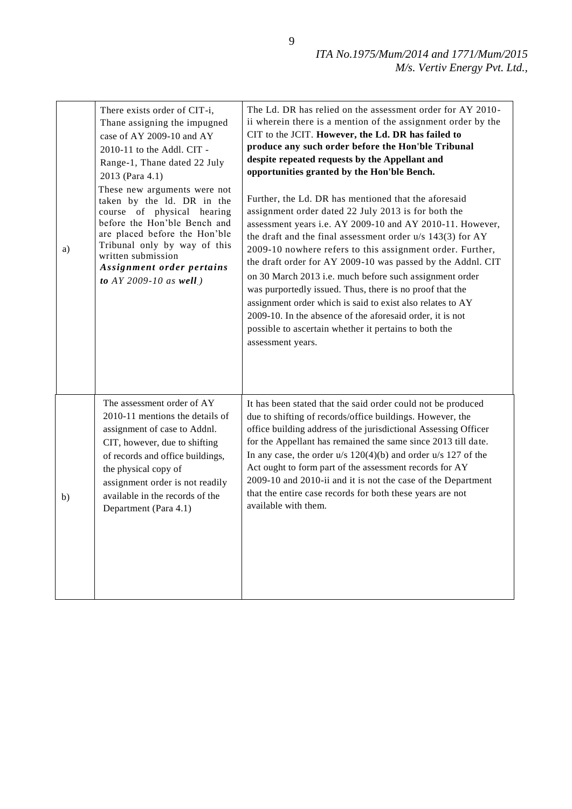| a) | There exists order of CIT-i,<br>Thane assigning the impugned<br>case of AY 2009-10 and AY<br>2010-11 to the Addl. CIT -<br>Range-1, Thane dated 22 July<br>2013 (Para 4.1)<br>These new arguments were not<br>taken by the ld. DR in the<br>course of physical hearing<br>before the Hon'ble Bench and<br>are placed before the Hon'ble<br>Tribunal only by way of this<br>written submission<br>Assignment order pertains<br>to AY 2009-10 as well.) | The Ld. DR has relied on the assessment order for AY 2010-<br>ii wherein there is a mention of the assignment order by the<br>CIT to the JCIT. However, the Ld. DR has failed to<br>produce any such order before the Hon'ble Tribunal<br>despite repeated requests by the Appellant and<br>opportunities granted by the Hon'ble Bench.<br>Further, the Ld. DR has mentioned that the aforesaid<br>assignment order dated 22 July 2013 is for both the<br>assessment years i.e. AY 2009-10 and AY 2010-11. However,<br>the draft and the final assessment order $u/s$ 143(3) for AY<br>2009-10 nowhere refers to this assignment order. Further,<br>the draft order for AY 2009-10 was passed by the Addnl. CIT<br>on 30 March 2013 i.e. much before such assignment order<br>was purportedly issued. Thus, there is no proof that the<br>assignment order which is said to exist also relates to AY<br>2009-10. In the absence of the aforesaid order, it is not<br>possible to ascertain whether it pertains to both the<br>assessment years. |
|----|-------------------------------------------------------------------------------------------------------------------------------------------------------------------------------------------------------------------------------------------------------------------------------------------------------------------------------------------------------------------------------------------------------------------------------------------------------|-------------------------------------------------------------------------------------------------------------------------------------------------------------------------------------------------------------------------------------------------------------------------------------------------------------------------------------------------------------------------------------------------------------------------------------------------------------------------------------------------------------------------------------------------------------------------------------------------------------------------------------------------------------------------------------------------------------------------------------------------------------------------------------------------------------------------------------------------------------------------------------------------------------------------------------------------------------------------------------------------------------------------------------------------|
| b) | The assessment order of AY<br>2010-11 mentions the details of<br>assignment of case to Addnl.<br>CIT, however, due to shifting<br>of records and office buildings,<br>the physical copy of<br>assignment order is not readily<br>available in the records of the<br>Department (Para 4.1)                                                                                                                                                             | It has been stated that the said order could not be produced<br>due to shifting of records/office buildings. However, the<br>office building address of the jurisdictional Assessing Officer<br>for the Appellant has remained the same since 2013 till date.<br>In any case, the order $u/s$ 120(4)(b) and order $u/s$ 127 of the<br>Act ought to form part of the assessment records for AY<br>2009-10 and 2010-ii and it is not the case of the Department<br>that the entire case records for both these years are not<br>available with them.                                                                                                                                                                                                                                                                                                                                                                                                                                                                                              |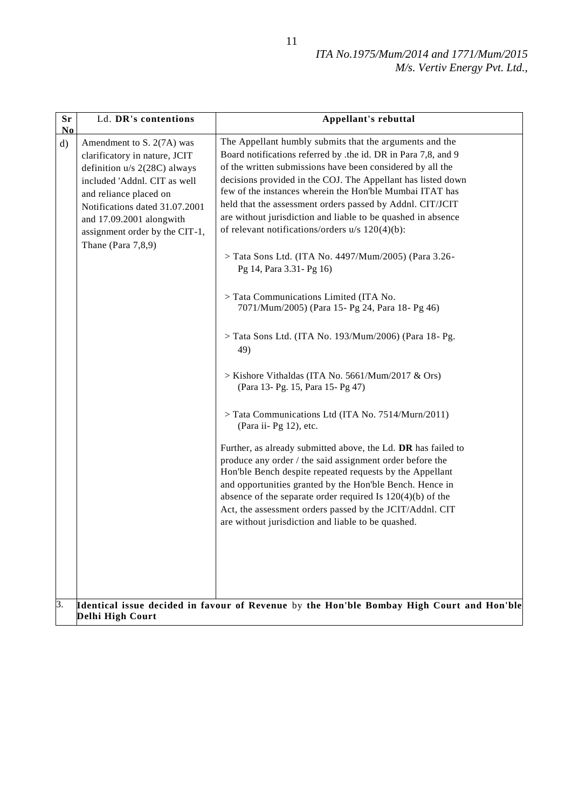| Sr<br>No           | Ld. DR's contentions                                                                                                                                                                                                                                                          | Appellant's rebuttal                                                                                                                                                                                                                                                                                                                                                                                                                                                                                                                                                                                                                                                                                                                                                                                                                                                                                                                                                                                                                                                                                                                                                                                                                                                                                                                                                                                                                                                |  |
|--------------------|-------------------------------------------------------------------------------------------------------------------------------------------------------------------------------------------------------------------------------------------------------------------------------|---------------------------------------------------------------------------------------------------------------------------------------------------------------------------------------------------------------------------------------------------------------------------------------------------------------------------------------------------------------------------------------------------------------------------------------------------------------------------------------------------------------------------------------------------------------------------------------------------------------------------------------------------------------------------------------------------------------------------------------------------------------------------------------------------------------------------------------------------------------------------------------------------------------------------------------------------------------------------------------------------------------------------------------------------------------------------------------------------------------------------------------------------------------------------------------------------------------------------------------------------------------------------------------------------------------------------------------------------------------------------------------------------------------------------------------------------------------------|--|
| $\mathrm{d}$<br>β. | Amendment to S. 2(7A) was<br>clarificatory in nature, JCIT<br>definition u/s 2(28C) always<br>included 'Addnl. CIT as well<br>and reliance placed on<br>Notifications dated 31.07.2001<br>and 17.09.2001 alongwith<br>assignment order by the CIT-1,<br>Thane (Para $7,8,9$ ) | The Appellant humbly submits that the arguments and the<br>Board notifications referred by .the id. DR in Para 7,8, and 9<br>of the written submissions have been considered by all the<br>decisions provided in the COJ. The Appellant has listed down<br>few of the instances wherein the Hon'ble Mumbai ITAT has<br>held that the assessment orders passed by Addnl. CIT/JCIT<br>are without jurisdiction and liable to be quashed in absence<br>of relevant notifications/orders u/s 120(4)(b):<br>> Tata Sons Ltd. (ITA No. 4497/Mum/2005) (Para 3.26-<br>Pg 14, Para 3.31 - Pg 16)<br>> Tata Communications Limited (ITA No.<br>7071/Mum/2005) (Para 15- Pg 24, Para 18- Pg 46)<br>> Tata Sons Ltd. (ITA No. 193/Mum/2006) (Para 18- Pg.<br>49)<br>> Kishore Vithaldas (ITA No. 5661/Mum/2017 & Ors)<br>(Para 13- Pg. 15, Para 15- Pg 47)<br>> Tata Communications Ltd (ITA No. 7514/Murn/2011)<br>(Para ii- Pg 12), etc.<br>Further, as already submitted above, the Ld. DR has failed to<br>produce any order / the said assignment order before the<br>Hon'ble Bench despite repeated requests by the Appellant<br>and opportunities granted by the Hon'ble Bench. Hence in<br>absence of the separate order required Is $120(4)(b)$ of the<br>Act, the assessment orders passed by the JCIT/Addnl. CIT<br>are without jurisdiction and liable to be quashed.<br>Identical issue decided in favour of Revenue by the Hon'ble Bombay High Court and Hon'ble |  |
|                    | Delhi High Court                                                                                                                                                                                                                                                              |                                                                                                                                                                                                                                                                                                                                                                                                                                                                                                                                                                                                                                                                                                                                                                                                                                                                                                                                                                                                                                                                                                                                                                                                                                                                                                                                                                                                                                                                     |  |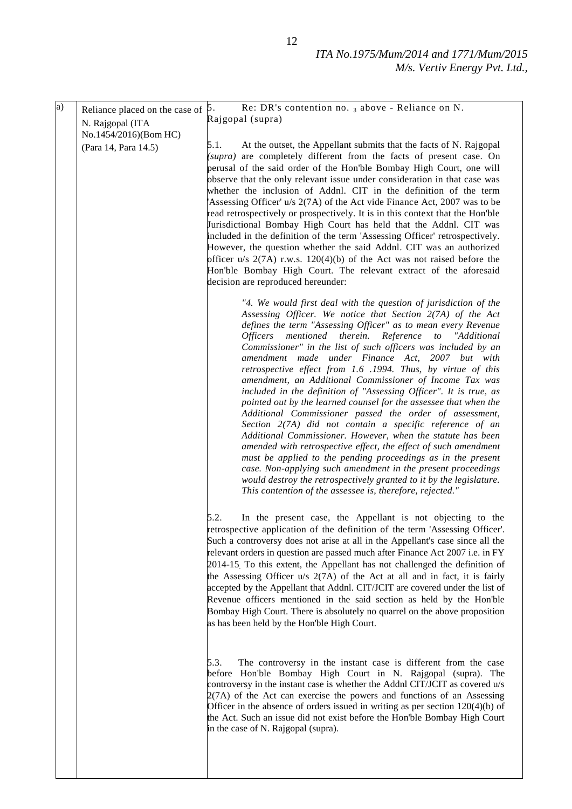| $\overline{a}$ | Reliance placed on the case of | Re: DR's contention no. $_3$ above - Reliance on N.<br>5.                                                                                                                                                                                                                                                                                                                                                                                                                                                                                                                                                                                                                                                                                                                                                                                                                                                                                                                                                                                                                                                                                                                                                                                                                                          |
|----------------|--------------------------------|----------------------------------------------------------------------------------------------------------------------------------------------------------------------------------------------------------------------------------------------------------------------------------------------------------------------------------------------------------------------------------------------------------------------------------------------------------------------------------------------------------------------------------------------------------------------------------------------------------------------------------------------------------------------------------------------------------------------------------------------------------------------------------------------------------------------------------------------------------------------------------------------------------------------------------------------------------------------------------------------------------------------------------------------------------------------------------------------------------------------------------------------------------------------------------------------------------------------------------------------------------------------------------------------------|
|                | N. Rajgopal (ITA               | Rajgopal (supra)                                                                                                                                                                                                                                                                                                                                                                                                                                                                                                                                                                                                                                                                                                                                                                                                                                                                                                                                                                                                                                                                                                                                                                                                                                                                                   |
|                | No.1454/2016)(Bom HC)          |                                                                                                                                                                                                                                                                                                                                                                                                                                                                                                                                                                                                                                                                                                                                                                                                                                                                                                                                                                                                                                                                                                                                                                                                                                                                                                    |
|                | (Para 14, Para 14.5)           | 5.1.<br>At the outset, the Appellant submits that the facts of N. Rajgopal<br>(supra) are completely different from the facts of present case. On<br>perusal of the said order of the Hon'ble Bombay High Court, one will<br>observe that the only relevant issue under consideration in that case was<br>whether the inclusion of Addnl. CIT in the definition of the term<br>'Assessing Officer' u/s 2(7A) of the Act vide Finance Act, 2007 was to be<br>read retrospectively or prospectively. It is in this context that the Hon'ble<br>Jurisdictional Bombay High Court has held that the Addnl. CIT was<br>included in the definition of the term 'Assessing Officer' retrospectively.<br>However, the question whether the said Addnl. CIT was an authorized<br>officer $u/s$ 2(7A) r.w.s. 120(4)(b) of the Act was not raised before the<br>Hon'ble Bombay High Court. The relevant extract of the aforesaid<br>decision are reproduced hereunder:<br>"4. We would first deal with the question of jurisdiction of the<br>Assessing Officer. We notice that Section 2(7A) of the Act<br>defines the term "Assessing Officer" as to mean every Revenue<br>Officers mentioned therein. Reference<br>$\iota$<br>"Additional<br>Commissioner" in the list of such officers was included by an |
|                |                                | amendment made under Finance Act, 2007 but with<br>retrospective effect from 1.6 .1994. Thus, by virtue of this<br>amendment, an Additional Commissioner of Income Tax was<br>included in the definition of "Assessing Officer". It is true, as<br>pointed out by the learned counsel for the assessee that when the<br>Additional Commissioner passed the order of assessment,<br>Section 2(7A) did not contain a specific reference of an<br>Additional Commissioner. However, when the statute has been<br>amended with retrospective effect, the effect of such amendment<br>must be applied to the pending proceedings as in the present<br>case. Non-applying such amendment in the present proceedings<br>would destroy the retrospectively granted to it by the legislature.<br>This contention of the assessee is, therefore, rejected."                                                                                                                                                                                                                                                                                                                                                                                                                                                  |
|                |                                | 5.2.<br>In the present case, the Appellant is not objecting to the<br>retrospective application of the definition of the term 'Assessing Officer'.<br>Such a controversy does not arise at all in the Appellant's case since all the<br>relevant orders in question are passed much after Finance Act 2007 i.e. in FY<br>2014-15. To this extent, the Appellant has not challenged the definition of<br>the Assessing Officer u/s 2(7A) of the Act at all and in fact, it is fairly<br>accepted by the Appellant that Addnl. CIT/JCIT are covered under the list of<br>Revenue officers mentioned in the said section as held by the Hon'ble<br>Bombay High Court. There is absolutely no quarrel on the above proposition<br>as has been held by the Hon'ble High Court.                                                                                                                                                                                                                                                                                                                                                                                                                                                                                                                          |
|                |                                | 5.3.<br>The controversy in the instant case is different from the case<br>before Hon'ble Bombay High Court in N. Rajgopal (supra). The<br>controversy in the instant case is whether the Addnl CIT/JCIT as covered u/s<br>$2(7A)$ of the Act can exercise the powers and functions of an Assessing<br>Officer in the absence of orders issued in writing as per section $120(4)(b)$ of<br>the Act. Such an issue did not exist before the Hon'ble Bombay High Court<br>in the case of N. Rajgopal (supra).                                                                                                                                                                                                                                                                                                                                                                                                                                                                                                                                                                                                                                                                                                                                                                                         |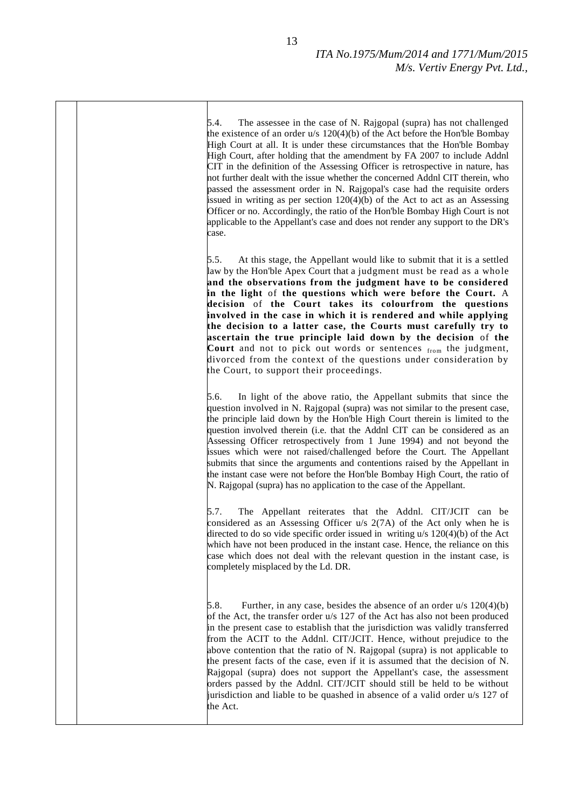5.4. The assessee in the case of N. Rajgopal (supra) has not challenged the existence of an order u/s 120(4)(b) of the Act before the Hon'ble Bombay High Court at all. It is under these circumstances that the Hon'ble Bombay High Court, after holding that the amendment by FA 2007 to include Addnl CIT in the definition of the Assessing Officer is retrospective in nature, has not further dealt with the issue whether the concerned Addnl CIT therein, who passed the assessment order in N. Rajgopal's case had the requisite orders issued in writing as per section 120(4)(b) of the Act to act as an Assessing Officer or no. Accordingly, the ratio of the Hon'ble Bombay High Court is not applicable to the Appellant's case and does not render any support to the DR's case.

5.5. At this stage, the Appellant would like to submit that it is a settled law by the Hon'ble Apex Court that a judgment must be read as a whole **and the observations from the judgment have to be considered in the light** of **the questions which were before the Court.** A **decision** of **the Court takes its colourfrom the questions involved in the case in which it is rendered and while applying the decision to a latter case, the Courts must carefully try to ascertain the true principle laid down by the decision** of **the**  Court and not to pick out words or sentences from the judgment, divorced from the context of the questions under consideration by the Court, to support their proceedings.

5.6. In light of the above ratio, the Appellant submits that since the question involved in N. Rajgopal (supra) was not similar to the present case, the principle laid down by the Hon'ble High Court therein is limited to the question involved therein (i.e. that the Addnl CIT can be considered as an Assessing Officer retrospectively from 1 June 1994) and not beyond the issues which were not raised/challenged before the Court. The Appellant submits that since the arguments and contentions raised by the Appellant in the instant case were not before the Hon'ble Bombay High Court, the ratio of N. Rajgopal (supra) has no application to the case of the Appellant.

5.7. The Appellant reiterates that the Addnl. CIT/JCIT can be considered as an Assessing Officer u/s 2(7A) of the Act only when he is directed to do so vide specific order issued in writing u/s 120(4)(b) of the Act which have not been produced in the instant case. Hence, the reliance on this case which does not deal with the relevant question in the instant case, is completely misplaced by the Ld. DR.

5.8. Further, in any case, besides the absence of an order  $u/s$  120(4)(b) of the Act, the transfer order u/s 127 of the Act has also not been produced in the present case to establish that the jurisdiction was validly transferred from the ACIT to the Addnl. CIT/JCIT. Hence, without prejudice to the above contention that the ratio of N. Rajgopal (supra) is not applicable to the present facts of the case, even if it is assumed that the decision of N. Rajgopal (supra) does not support the Appellant's case, the assessment orders passed by the Addnl. CIT/JCIT should still be held to be without jurisdiction and liable to be quashed in absence of a valid order u/s 127 of the Act.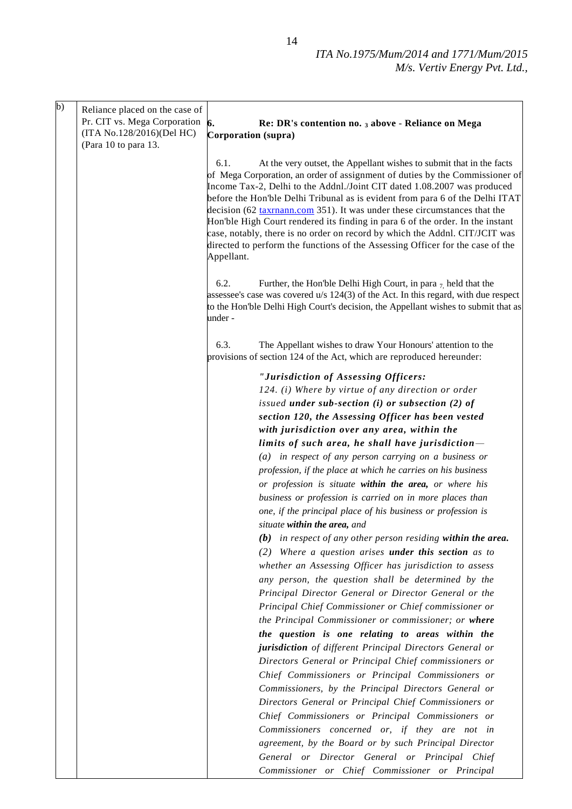| b) | Reliance placed on the case of<br>Pr. CIT vs. Mega Corporation | 6.<br>Re: DR's contention no. 3 above - Reliance on Mega                                                                                                                                                                                                                                                                                                                                                                                                                                                                                                                                                                                                               |  |
|----|----------------------------------------------------------------|------------------------------------------------------------------------------------------------------------------------------------------------------------------------------------------------------------------------------------------------------------------------------------------------------------------------------------------------------------------------------------------------------------------------------------------------------------------------------------------------------------------------------------------------------------------------------------------------------------------------------------------------------------------------|--|
|    | (ITA No.128/2016)(Del HC)<br>(Para 10 to para 13.              | Corporation (supra)                                                                                                                                                                                                                                                                                                                                                                                                                                                                                                                                                                                                                                                    |  |
|    |                                                                | 6.1.<br>At the very outset, the Appellant wishes to submit that in the facts<br>of Mega Corporation, an order of assignment of duties by the Commissioner of<br>Income Tax-2, Delhi to the Addnl./Joint CIT dated 1.08.2007 was produced<br>before the Hon'ble Delhi Tribunal as is evident from para 6 of the Delhi ITAT<br>decision (62 taxmann.com 351). It was under these circumstances that the<br>Hon'ble High Court rendered its finding in para 6 of the order. In the instant<br>case, notably, there is no order on record by which the Addnl. CIT/JCIT was<br>directed to perform the functions of the Assessing Officer for the case of the<br>Appellant. |  |
|    |                                                                | 6.2.<br>Further, the Hon'ble Delhi High Court, in para $_7$ held that the<br>assessee's case was covered u/s 124(3) of the Act. In this regard, with due respect<br>to the Hon'ble Delhi High Court's decision, the Appellant wishes to submit that as<br>under -                                                                                                                                                                                                                                                                                                                                                                                                      |  |
|    |                                                                | 6.3.<br>The Appellant wishes to draw Your Honours' attention to the<br>provisions of section 124 of the Act, which are reproduced hereunder:                                                                                                                                                                                                                                                                                                                                                                                                                                                                                                                           |  |
|    |                                                                | "Jurisdiction of Assessing Officers:<br>124. (i) Where by virtue of any direction or order                                                                                                                                                                                                                                                                                                                                                                                                                                                                                                                                                                             |  |
|    |                                                                | issued under sub-section $(i)$ or subsection $(2)$ of<br>section 120, the Assessing Officer has been vested<br>with jurisdiction over any area, within the                                                                                                                                                                                                                                                                                                                                                                                                                                                                                                             |  |
|    |                                                                | limits of such area, he shall have jurisdiction-                                                                                                                                                                                                                                                                                                                                                                                                                                                                                                                                                                                                                       |  |
|    |                                                                | $(a)$ in respect of any person carrying on a business or<br>profession, if the place at which he carries on his business<br>or profession is situate within the area, or where his<br>business or profession is carried on in more places than<br>one, if the principal place of his business or profession is<br>situate within the area, and                                                                                                                                                                                                                                                                                                                         |  |
|    |                                                                | $(b)$ in respect of any other person residing within the area.                                                                                                                                                                                                                                                                                                                                                                                                                                                                                                                                                                                                         |  |
|    |                                                                | $(2)$ Where a question arises <b>under this section</b> as to                                                                                                                                                                                                                                                                                                                                                                                                                                                                                                                                                                                                          |  |
|    |                                                                | whether an Assessing Officer has jurisdiction to assess                                                                                                                                                                                                                                                                                                                                                                                                                                                                                                                                                                                                                |  |
|    |                                                                | any person, the question shall be determined by the                                                                                                                                                                                                                                                                                                                                                                                                                                                                                                                                                                                                                    |  |
|    |                                                                | Principal Director General or Director General or the                                                                                                                                                                                                                                                                                                                                                                                                                                                                                                                                                                                                                  |  |
|    |                                                                | Principal Chief Commissioner or Chief commissioner or                                                                                                                                                                                                                                                                                                                                                                                                                                                                                                                                                                                                                  |  |
|    |                                                                | the Principal Commissioner or commissioner; or where                                                                                                                                                                                                                                                                                                                                                                                                                                                                                                                                                                                                                   |  |
|    |                                                                | the question is one relating to areas within the                                                                                                                                                                                                                                                                                                                                                                                                                                                                                                                                                                                                                       |  |
|    |                                                                | jurisdiction of different Principal Directors General or                                                                                                                                                                                                                                                                                                                                                                                                                                                                                                                                                                                                               |  |
|    |                                                                | Directors General or Principal Chief commissioners or<br>Chief Commissioners or Principal Commissioners or                                                                                                                                                                                                                                                                                                                                                                                                                                                                                                                                                             |  |
|    |                                                                | Commissioners, by the Principal Directors General or                                                                                                                                                                                                                                                                                                                                                                                                                                                                                                                                                                                                                   |  |
|    |                                                                | Directors General or Principal Chief Commissioners or                                                                                                                                                                                                                                                                                                                                                                                                                                                                                                                                                                                                                  |  |
|    |                                                                | Chief Commissioners or Principal Commissioners or                                                                                                                                                                                                                                                                                                                                                                                                                                                                                                                                                                                                                      |  |
|    |                                                                | Commissioners concerned or, if they are not in                                                                                                                                                                                                                                                                                                                                                                                                                                                                                                                                                                                                                         |  |
|    |                                                                | agreement, by the Board or by such Principal Director                                                                                                                                                                                                                                                                                                                                                                                                                                                                                                                                                                                                                  |  |
|    |                                                                | General or Director General or Principal Chief                                                                                                                                                                                                                                                                                                                                                                                                                                                                                                                                                                                                                         |  |
|    |                                                                | Commissioner or Chief Commissioner or Principal                                                                                                                                                                                                                                                                                                                                                                                                                                                                                                                                                                                                                        |  |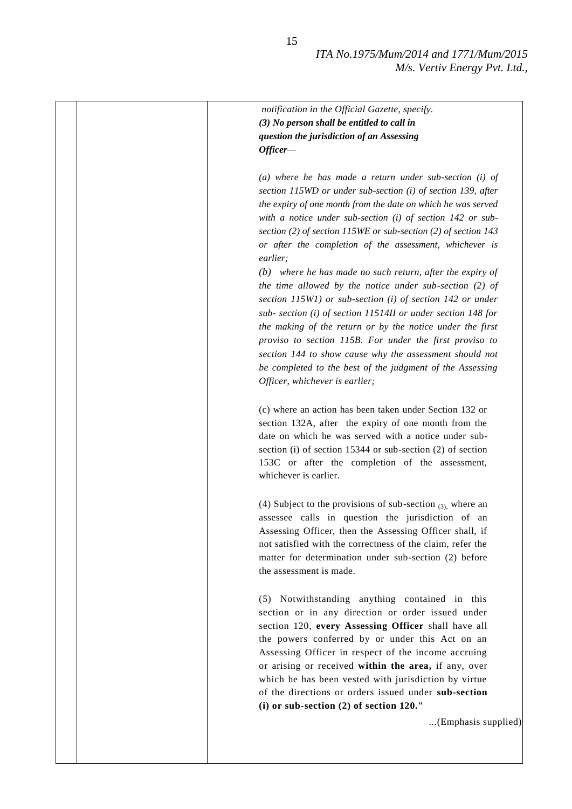| notification in the Official Gazette, specify.                      |
|---------------------------------------------------------------------|
| (3) No person shall be entitled to call in                          |
| question the jurisdiction of an Assessing                           |
| $Officer-$                                                          |
| (a) where he has made a return under sub-section $(i)$ of           |
| section 115WD or under sub-section (i) of section 139, after        |
| the expiry of one month from the date on which he was served        |
| with a notice under sub-section $(i)$ of section 142 or sub-        |
| section (2) of section 115WE or sub-section (2) of section 143      |
| or after the completion of the assessment, whichever is<br>earlier; |
| $(b)$ where he has made no such return, after the expiry of         |
| the time allowed by the notice under sub-section $(2)$ of           |
| section 115W1) or sub-section (i) of section 142 or under           |
| sub- section (i) of section 11514II or under section 148 for        |
| the making of the return or by the notice under the first           |
| proviso to section 115B. For under the first proviso to             |
| section 144 to show cause why the assessment should not             |
| be completed to the best of the judgment of the Assessing           |
| Officer, whichever is earlier;                                      |
|                                                                     |
| (c) where an action has been taken under Section 132 or             |
| section 132A, after the expiry of one month from the                |
| date on which he was served with a notice under sub-                |
| section (i) of section 15344 or sub-section (2) of section          |
| 153C or after the completion of the assessment,                     |
| whichever is earlier.                                               |
| (4) Subject to the provisions of sub-section $(3)$ , where an       |
| assessee calls in question the jurisdiction of an                   |
| Assessing Officer, then the Assessing Officer shall, if             |
| not satisfied with the correctness of the claim, refer the          |
| matter for determination under sub-section (2) before               |
| the assessment is made.                                             |
| Notwithstanding anything contained in this<br>(5)                   |
| section or in any direction or order issued under                   |
| section 120, every Assessing Officer shall have all                 |
| the powers conferred by or under this Act on an                     |
| Assessing Officer in respect of the income accruing                 |
| or arising or received within the area, if any, over                |
| which he has been vested with jurisdiction by virtue                |
| of the directions or orders issued under sub-section                |
| (i) or sub-section $(2)$ of section 120."                           |
| (Emphasis supplied)                                                 |
|                                                                     |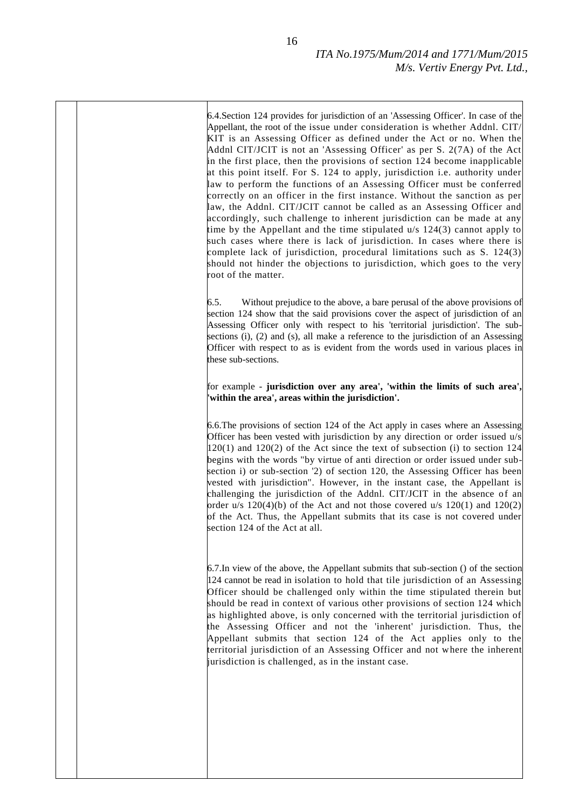6.4.Section 124 provides for jurisdiction of an 'Assessing Officer'. In case of the Appellant, the root of the issue under consideration is whether Addnl. CIT/ KIT is an Assessing Officer as defined under the Act or no. When the Addnl CIT/JCIT is not an 'Assessing Officer' as per S. 2(7A) of the Act in the first place, then the provisions of section 124 become inapplicable at this point itself. For S. 124 to apply, jurisdiction i.e. authority under law to perform the functions of an Assessing Officer must be conferred correctly on an officer in the first instance. Without the sanction as per law, the Addnl. CIT/JCIT cannot be called as an Assessing Officer and accordingly, such challenge to inherent jurisdiction can be made at any time by the Appellant and the time stipulated u/s 124(3) cannot apply to such cases where there is lack of jurisdiction. In cases where there is complete lack of jurisdiction, procedural limitations such as S. 124(3) should not hinder the objections to jurisdiction, which goes to the very root of the matter. 6.5. Without prejudice to the above, a bare perusal of the above provisions of section 124 show that the said provisions cover the aspect of jurisdiction of an Assessing Officer only with respect to his 'territorial jurisdiction'. The subsections (i), (2) and (s), all make a reference to the jurisdiction of an Assessing Officer with respect to as is evident from the words used in various places in these sub-sections. for example - **jurisdiction over any area', 'within the limits of such area', 'within the area', areas within the jurisdiction'.** 6.6.The provisions of section 124 of the Act apply in cases where an Assessing Officer has been vested with jurisdiction by any direction or order issued u/s  $120(1)$  and  $120(2)$  of the Act since the text of subsection (i) to section 124 begins with the words "by virtue of anti direction or order issued under subsection i) or sub-section '2) of section 120, the Assessing Officer has been vested with jurisdiction". However, in the instant case, the Appellant is challenging the jurisdiction of the Addnl. CIT/JCIT in the absence of an order u/s  $120(4)(b)$  of the Act and not those covered u/s  $120(1)$  and  $120(2)$ of the Act. Thus, the Appellant submits that its case is not covered under section 124 of the Act at all. 6.7.In view of the above, the Appellant submits that sub-section () of the section 124 cannot be read in isolation to hold that tile jurisdiction of an Assessing Officer should be challenged only within the time stipulated therein but should be read in context of various other provisions of section 124 which as highlighted above, is only concerned with the territorial jurisdiction of the Assessing Officer and not the 'inherent' jurisdiction. Thus, the Appellant submits that section 124 of the Act applies only to the territorial jurisdiction of an Assessing Officer and not where the inherent jurisdiction is challenged, as in the instant case.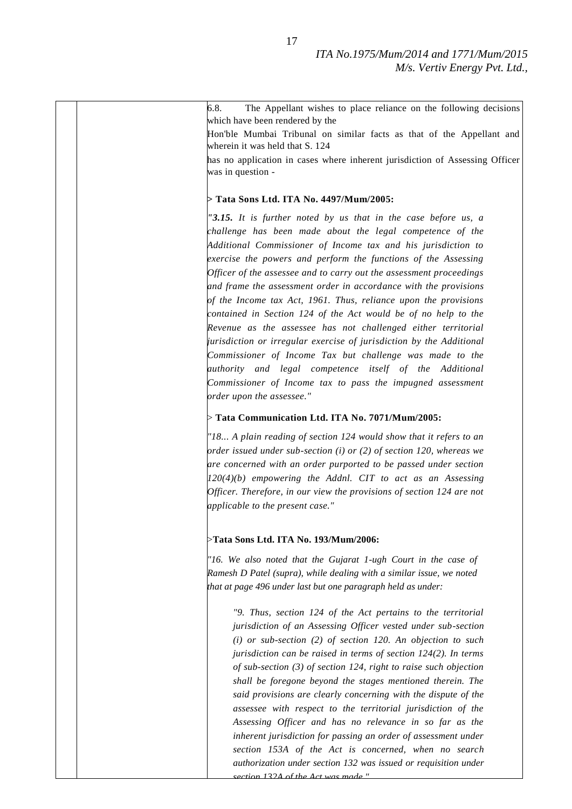| 6.8. | The Appellant wishes to place reliance on the following decisions                                                                   |
|------|-------------------------------------------------------------------------------------------------------------------------------------|
|      | which have been rendered by the<br>Hon'ble Mumbai Tribunal on similar facts as that of the Appellant and                            |
|      | wherein it was held that S. 124                                                                                                     |
|      | has no application in cases where inherent jurisdiction of Assessing Officer                                                        |
|      | was in question -                                                                                                                   |
|      | > Tata Sons Ltd. ITA No. 4497/Mum/2005:                                                                                             |
|      | "3.15. It is further noted by us that in the case before us, a                                                                      |
|      | challenge has been made about the legal competence of the                                                                           |
|      | Additional Commissioner of Income tax and his jurisdiction to                                                                       |
|      | exercise the powers and perform the functions of the Assessing                                                                      |
|      | Officer of the assessee and to carry out the assessment proceedings                                                                 |
|      | and frame the assessment order in accordance with the provisions<br>of the Income tax Act, 1961. Thus, reliance upon the provisions |
|      | contained in Section 124 of the Act would be of no help to the                                                                      |
|      | Revenue as the assessee has not challenged either territorial                                                                       |
|      | jurisdiction or irregular exercise of jurisdiction by the Additional                                                                |
|      | Commissioner of Income Tax but challenge was made to the                                                                            |
|      | authority and legal competence itself of the Additional                                                                             |
|      | Commissioner of Income tax to pass the impugned assessment                                                                          |
|      | order upon the assessee."                                                                                                           |
|      | $>$ Tata Communication Ltd. ITA No. 7071/Mum/2005:                                                                                  |
|      | "18 A plain reading of section 124 would show that it refers to an                                                                  |
|      | order issued under sub-section (i) or (2) of section 120, whereas we                                                                |
|      | are concerned with an order purported to be passed under section                                                                    |
|      | $120(4)(b)$ empowering the Addnl. CIT to act as an Assessing                                                                        |
|      | Officer. Therefore, in our view the provisions of section 124 are not                                                               |
|      | applicable to the present case."                                                                                                    |
|      | >Tata Sons Ltd. ITA No. 193/Mum/2006:                                                                                               |
|      | "16. We also noted that the Gujarat 1-ugh Court in the case of                                                                      |
|      | Ramesh D Patel (supra), while dealing with a similar issue, we noted                                                                |
|      | that at page 496 under last but one paragraph held as under:                                                                        |
|      | "9. Thus, section 124 of the Act pertains to the territorial                                                                        |
|      | jurisdiction of an Assessing Officer vested under sub-section                                                                       |
|      | $(i)$ or sub-section (2) of section 120. An objection to such                                                                       |
|      | jurisdiction can be raised in terms of section 124(2). In terms                                                                     |
|      | of sub-section $(3)$ of section 124, right to raise such objection                                                                  |
|      | shall be foregone beyond the stages mentioned therein. The                                                                          |
|      | said provisions are clearly concerning with the dispute of the                                                                      |
|      | assessee with respect to the territorial jurisdiction of the                                                                        |
|      | Assessing Officer and has no relevance in so far as the                                                                             |
|      | inherent jurisdiction for passing an order of assessment under<br>section 153A of the Act is concerned, when no search              |
|      | authorization under section 132 was issued or requisition under                                                                     |
|      | <u>section 132A of the Act was made "</u>                                                                                           |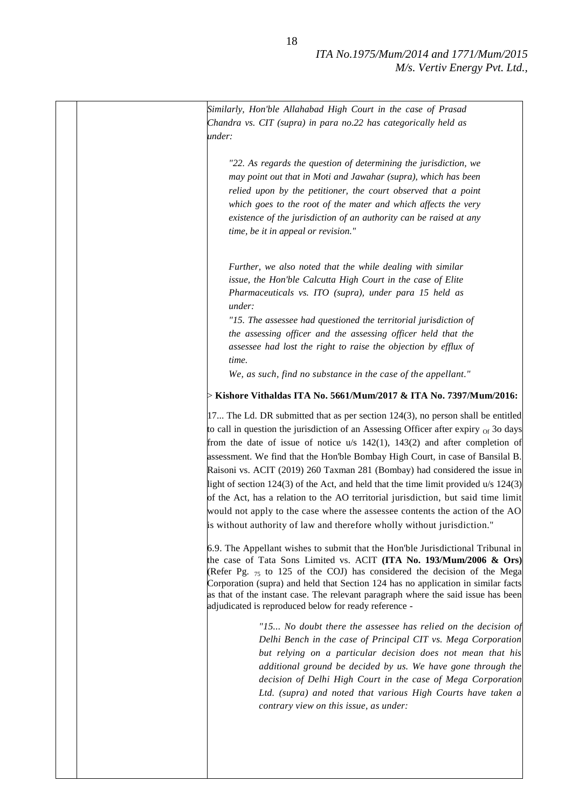|  | Similarly, Hon'ble Allahabad High Court in the case of Prasad                                                                                                                                                                                                                                                                                                                                                |
|--|--------------------------------------------------------------------------------------------------------------------------------------------------------------------------------------------------------------------------------------------------------------------------------------------------------------------------------------------------------------------------------------------------------------|
|  | Chandra vs. CIT (supra) in para no.22 has categorically held as                                                                                                                                                                                                                                                                                                                                              |
|  | under:                                                                                                                                                                                                                                                                                                                                                                                                       |
|  |                                                                                                                                                                                                                                                                                                                                                                                                              |
|  | "22. As regards the question of determining the jurisdiction, we                                                                                                                                                                                                                                                                                                                                             |
|  | may point out that in Moti and Jawahar (supra), which has been                                                                                                                                                                                                                                                                                                                                               |
|  | relied upon by the petitioner, the court observed that a point                                                                                                                                                                                                                                                                                                                                               |
|  | which goes to the root of the mater and which affects the very                                                                                                                                                                                                                                                                                                                                               |
|  | existence of the jurisdiction of an authority can be raised at any                                                                                                                                                                                                                                                                                                                                           |
|  | time, be it in appeal or revision."                                                                                                                                                                                                                                                                                                                                                                          |
|  |                                                                                                                                                                                                                                                                                                                                                                                                              |
|  |                                                                                                                                                                                                                                                                                                                                                                                                              |
|  | Further, we also noted that the while dealing with similar                                                                                                                                                                                                                                                                                                                                                   |
|  | issue, the Hon'ble Calcutta High Court in the case of Elite                                                                                                                                                                                                                                                                                                                                                  |
|  | Pharmaceuticals vs. ITO (supra), under para 15 held as                                                                                                                                                                                                                                                                                                                                                       |
|  | under:                                                                                                                                                                                                                                                                                                                                                                                                       |
|  | "15. The assessee had questioned the territorial jurisdiction of                                                                                                                                                                                                                                                                                                                                             |
|  | the assessing officer and the assessing officer held that the                                                                                                                                                                                                                                                                                                                                                |
|  | assessee had lost the right to raise the objection by efflux of                                                                                                                                                                                                                                                                                                                                              |
|  | time.                                                                                                                                                                                                                                                                                                                                                                                                        |
|  | We, as such, find no substance in the case of the appellant."                                                                                                                                                                                                                                                                                                                                                |
|  | $>$ Kishore Vithaldas ITA No. 5661/Mum/2017 & ITA No. 7397/Mum/2016:                                                                                                                                                                                                                                                                                                                                         |
|  |                                                                                                                                                                                                                                                                                                                                                                                                              |
|  | $17$ The Ld. DR submitted that as per section $124(3)$ , no person shall be entitled                                                                                                                                                                                                                                                                                                                         |
|  | to call in question the jurisdiction of an Assessing Officer after expiry $_{\text{of}}$ 30 days                                                                                                                                                                                                                                                                                                             |
|  | from the date of issue of notice $u/s$ 142(1), 143(2) and after completion of                                                                                                                                                                                                                                                                                                                                |
|  | assessment. We find that the Hon'ble Bombay High Court, in case of Bansilal B.                                                                                                                                                                                                                                                                                                                               |
|  | Raisoni vs. ACIT (2019) 260 Taxman 281 (Bombay) had considered the issue in                                                                                                                                                                                                                                                                                                                                  |
|  | light of section 124(3) of the Act, and held that the time limit provided $u/s$ 124(3)                                                                                                                                                                                                                                                                                                                       |
|  | of the Act, has a relation to the AO territorial jurisdiction, but said time limit                                                                                                                                                                                                                                                                                                                           |
|  | would not apply to the case where the assessee contents the action of the AO                                                                                                                                                                                                                                                                                                                                 |
|  | is without authority of law and therefore wholly without jurisdiction."                                                                                                                                                                                                                                                                                                                                      |
|  | 6.9. The Appellant wishes to submit that the Hon'ble Jurisdictional Tribunal in<br>the case of Tata Sons Limited vs. ACIT (ITA No. 193/Mum/2006 & Ors)<br>(Refer Pg. 75 to 125 of the COJ) has considered the decision of the Mega<br>Corporation (supra) and held that Section 124 has no application in similar facts<br>as that of the instant case. The relevant paragraph where the said issue has been |
|  | adjudicated is reproduced below for ready reference -                                                                                                                                                                                                                                                                                                                                                        |
|  | "15 No doubt there the assessee has relied on the decision of                                                                                                                                                                                                                                                                                                                                                |
|  | Delhi Bench in the case of Principal CIT vs. Mega Corporation<br>but relying on a particular decision does not mean that his<br>additional ground be decided by us. We have gone through the                                                                                                                                                                                                                 |
|  | decision of Delhi High Court in the case of Mega Corporation<br>Ltd. (supra) and noted that various High Courts have taken a                                                                                                                                                                                                                                                                                 |
|  | contrary view on this issue, as under:                                                                                                                                                                                                                                                                                                                                                                       |
|  |                                                                                                                                                                                                                                                                                                                                                                                                              |
|  |                                                                                                                                                                                                                                                                                                                                                                                                              |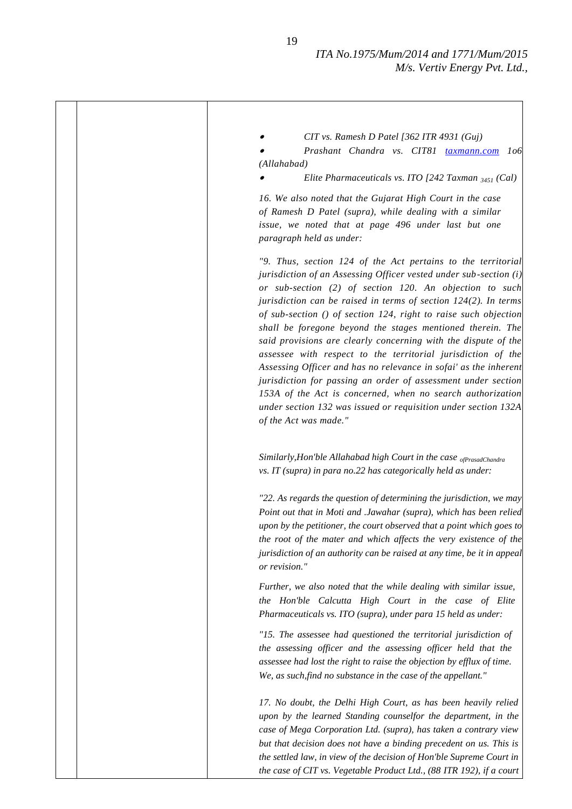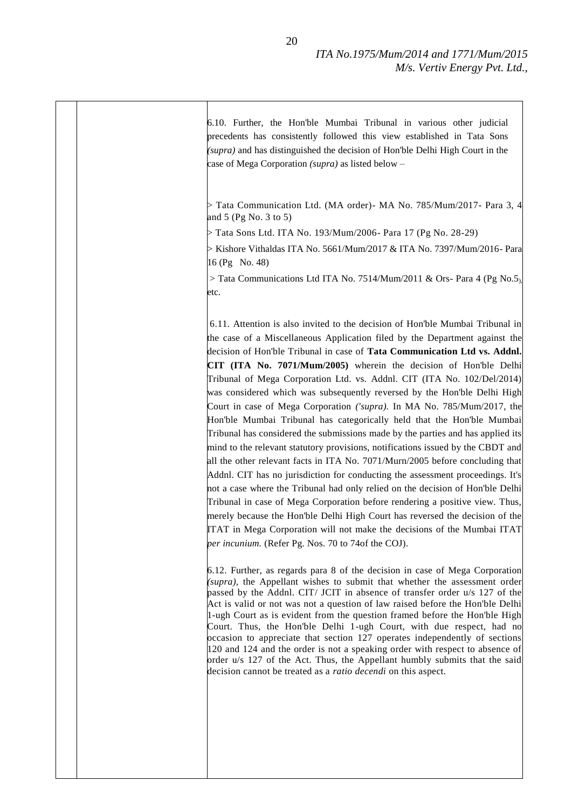| 6.10. Further, the Hon'ble Mumbai Tribunal in various other judicial<br>precedents has consistently followed this view established in Tata Sons<br>(supra) and has distinguished the decision of Hon'ble Delhi High Court in the<br>case of Mega Corporation (supra) as listed below -                                                                                                                                                                                                                                                                                                                                                                                                                                                                                                                                                                                                                                                                                                                                                                                                                                                                                                                                                                                                                                                                 |
|--------------------------------------------------------------------------------------------------------------------------------------------------------------------------------------------------------------------------------------------------------------------------------------------------------------------------------------------------------------------------------------------------------------------------------------------------------------------------------------------------------------------------------------------------------------------------------------------------------------------------------------------------------------------------------------------------------------------------------------------------------------------------------------------------------------------------------------------------------------------------------------------------------------------------------------------------------------------------------------------------------------------------------------------------------------------------------------------------------------------------------------------------------------------------------------------------------------------------------------------------------------------------------------------------------------------------------------------------------|
| $\triangleright$ Tata Communication Ltd. (MA order) - MA No. 785/Mum/2017 - Para 3, 4<br>and 5 (Pg No. 3 to 5)                                                                                                                                                                                                                                                                                                                                                                                                                                                                                                                                                                                                                                                                                                                                                                                                                                                                                                                                                                                                                                                                                                                                                                                                                                         |
| Tata Sons Ltd. ITA No. 193/Mum/2006- Para 17 (Pg No. 28-29)                                                                                                                                                                                                                                                                                                                                                                                                                                                                                                                                                                                                                                                                                                                                                                                                                                                                                                                                                                                                                                                                                                                                                                                                                                                                                            |
| $>$ Kishore Vithaldas ITA No. 5661/Mum/2017 & ITA No. 7397/Mum/2016- Para<br>16 (Pg No. 48)                                                                                                                                                                                                                                                                                                                                                                                                                                                                                                                                                                                                                                                                                                                                                                                                                                                                                                                                                                                                                                                                                                                                                                                                                                                            |
| > Tata Communications Ltd ITA No. 7514/Mum/2011 & Ors- Para 4 (Pg No.5)<br>etc.                                                                                                                                                                                                                                                                                                                                                                                                                                                                                                                                                                                                                                                                                                                                                                                                                                                                                                                                                                                                                                                                                                                                                                                                                                                                        |
| 6.11. Attention is also invited to the decision of Hon'ble Mumbai Tribunal in<br>the case of a Miscellaneous Application filed by the Department against the<br>decision of Hon'ble Tribunal in case of Tata Communication Ltd vs. Addnl.<br>CIT (ITA No. 7071/Mum/2005) wherein the decision of Hon'ble Delhi<br>Tribunal of Mega Corporation Ltd. vs. Addnl. CIT (ITA No. 102/Del/2014)<br>was considered which was subsequently reversed by the Hon'ble Delhi High<br>Court in case of Mega Corporation ('supra). In MA No. 785/Mum/2017, the<br>Hon'ble Mumbai Tribunal has categorically held that the Hon'ble Mumbai<br>Tribunal has considered the submissions made by the parties and has applied its<br>mind to the relevant statutory provisions, notifications issued by the CBDT and<br>all the other relevant facts in ITA No. 7071/Murn/2005 before concluding that<br>Addnl. CIT has no jurisdiction for conducting the assessment proceedings. It's<br>not a case where the Tribunal had only relied on the decision of Hon'ble Delhi<br>Tribunal in case of Mega Corporation before rendering a positive view. Thus,<br>merely because the Hon'ble Delhi High Court has reversed the decision of the<br>ITAT in Mega Corporation will not make the decisions of the Mumbai ITAT<br>per incunium. (Refer Pg. Nos. 70 to 74of the COJ). |
| 6.12. Further, as regards para 8 of the decision in case of Mega Corporation<br>(supra), the Appellant wishes to submit that whether the assessment order<br>passed by the Addnl. CIT/ JCIT in absence of transfer order u/s 127 of the<br>Act is valid or not was not a question of law raised before the Hon'ble Delhi<br>1-ugh Court as is evident from the question framed before the Hon'ble High<br>Court. Thus, the Hon'ble Delhi 1-ugh Court, with due respect, had no<br>occasion to appreciate that section 127 operates independently of sections<br>120 and 124 and the order is not a speaking order with respect to absence of<br>order u/s 127 of the Act. Thus, the Appellant humbly submits that the said<br>decision cannot be treated as a <i>ratio decendi</i> on this aspect.                                                                                                                                                                                                                                                                                                                                                                                                                                                                                                                                                     |
|                                                                                                                                                                                                                                                                                                                                                                                                                                                                                                                                                                                                                                                                                                                                                                                                                                                                                                                                                                                                                                                                                                                                                                                                                                                                                                                                                        |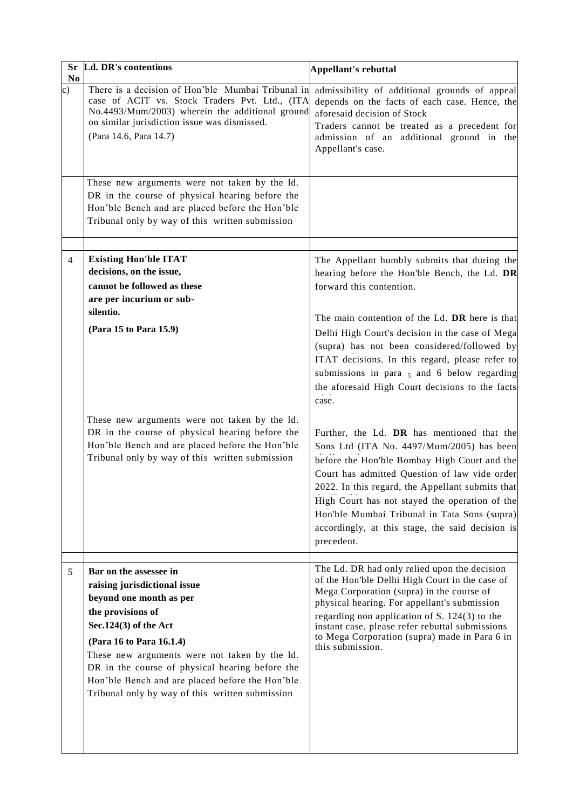| Sr<br>N <sub>0</sub> | Ld. DR's contentions                                                                                                                                                                                                                                                                                                                                                  | Appellant's rebuttal                                                                                                                                                                                                                                                                                                                                                                                             |
|----------------------|-----------------------------------------------------------------------------------------------------------------------------------------------------------------------------------------------------------------------------------------------------------------------------------------------------------------------------------------------------------------------|------------------------------------------------------------------------------------------------------------------------------------------------------------------------------------------------------------------------------------------------------------------------------------------------------------------------------------------------------------------------------------------------------------------|
| c)                   | There is a decision of Hon'ble Mumbai Tribunal in<br>case of ACIT vs. Stock Traders Pvt. Ltd., (ITA<br>No.4493/Mum/2003) wherein the additional ground<br>on similar jurisdiction issue was dismissed.<br>(Para 14.6, Para 14.7)                                                                                                                                      | admissibility of additional grounds of appeal<br>depends on the facts of each case. Hence, the<br>aforesaid decision of Stock<br>Traders cannot be treated as a precedent for<br>admission of an additional ground in the<br>Appellant's case.                                                                                                                                                                   |
|                      | These new arguments were not taken by the 1d.<br>DR in the course of physical hearing before the<br>Hon'ble Bench and are placed before the Hon'ble<br>Tribunal only by way of this written submission                                                                                                                                                                |                                                                                                                                                                                                                                                                                                                                                                                                                  |
| 4                    | <b>Existing Hon'ble ITAT</b><br>decisions, on the issue,<br>cannot be followed as these<br>are per incurium or sub-                                                                                                                                                                                                                                                   | The Appellant humbly submits that during the<br>hearing before the Hon'ble Bench, the Ld. DR<br>forward this contention.                                                                                                                                                                                                                                                                                         |
|                      | silentio.<br>(Para 15 to Para 15.9)                                                                                                                                                                                                                                                                                                                                   | The main contention of the Ld. DR here is that<br>Delhi High Court's decision in the case of Mega<br>(supra) has not been considered/followed by<br>ITAT decisions. In this regard, please refer to<br>submissions in para $5$ and 6 below regarding<br>the aforesaid High Court decisions to the facts<br>case.                                                                                                 |
|                      | These new arguments were not taken by the ld.<br>DR in the course of physical hearing before the<br>Hon'ble Bench and are placed before the Hon'ble<br>Tribunal only by way of this written submission                                                                                                                                                                | Further, the Ld. DR has mentioned that the<br>Sons Ltd (ITA No. 4497/Mum/2005) has been<br>before the Hon'ble Bombay High Court and the<br>Court has admitted Question of law vide order<br>2022. In this regard, the Appellant submits that<br>High Court has not stayed the operation of the<br>Hon'ble Mumbai Tribunal in Tata Sons (supra)<br>accordingly, at this stage, the said decision is<br>precedent. |
| 5                    | Bar on the assessee in<br>raising jurisdictional issue<br>beyond one month as per<br>the provisions of<br>Sec.124(3) of the Act<br>(Para 16 to Para 16.1.4)<br>These new arguments were not taken by the ld.<br>DR in the course of physical hearing before the<br>Hon'ble Bench and are placed before the Hon'ble<br>Tribunal only by way of this written submission | The Ld. DR had only relied upon the decision<br>of the Hon'ble Delhi High Court in the case of<br>Mega Corporation (supra) in the course of<br>physical hearing. For appellant's submission<br>regarding non application of S. 124(3) to the<br>instant case, please refer rebuttal submissions<br>to Mega Corporation (supra) made in Para 6 in<br>this submission.                                             |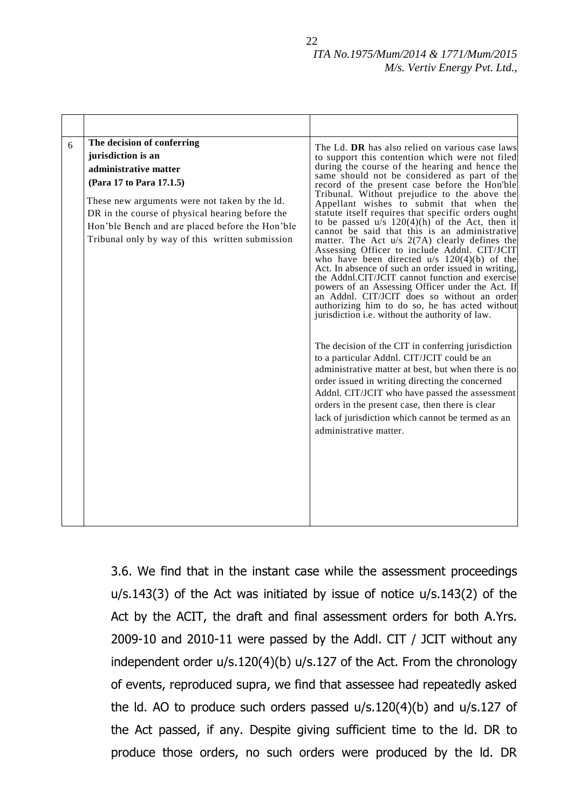| 6 | The decision of conferring<br>jurisdiction is an<br>administrative matter<br>(Para 17 to Para 17.1.5)<br>These new arguments were not taken by the ld.<br>DR in the course of physical hearing before the<br>Hon'ble Bench and are placed before the Hon'ble<br>Tribunal only by way of this written submission | The Ld. DR has also relied on various case laws<br>to support this contention which were not filed<br>during the course of the hearing and hence the<br>same should not be considered as part of the<br>record of the present case before the Hon'ble<br>Tribunal. Without prejudice to the above the<br>Appellant wishes to submit that when the<br>statute itself requires that specific orders ought<br>to be passed $u/s$ 120(4)(h) of the Act, then it<br>cannot be said that this is an administrative<br>matter. The Act $u/s$ 2(7A) clearly defines the<br>Assessing Officer to include Addnl. CIT/JCIT<br>who have been directed $u/s$ 120(4)(b) of the<br>Act. In absence of such an order issued in writing,<br>the Addnl.CIT/JCIT cannot function and exercise<br>powers of an Assessing Officer under the Act. If<br>an Addnl. CIT/JCIT does so without an order<br>authorizing him to do so, he has acted without<br>jurisdiction i.e. without the authority of law. |
|---|-----------------------------------------------------------------------------------------------------------------------------------------------------------------------------------------------------------------------------------------------------------------------------------------------------------------|------------------------------------------------------------------------------------------------------------------------------------------------------------------------------------------------------------------------------------------------------------------------------------------------------------------------------------------------------------------------------------------------------------------------------------------------------------------------------------------------------------------------------------------------------------------------------------------------------------------------------------------------------------------------------------------------------------------------------------------------------------------------------------------------------------------------------------------------------------------------------------------------------------------------------------------------------------------------------------|
|   |                                                                                                                                                                                                                                                                                                                 | The decision of the CIT in conferring jurisdiction<br>to a particular Addnl. CIT/JCIT could be an<br>administrative matter at best, but when there is no<br>order issued in writing directing the concerned<br>Addnl. CIT/JCIT who have passed the assessment<br>orders in the present case, then there is clear<br>lack of jurisdiction which cannot be termed as an<br>administrative matter.                                                                                                                                                                                                                                                                                                                                                                                                                                                                                                                                                                                    |

3.6. We find that in the instant case while the assessment proceedings u/s.143(3) of the Act was initiated by issue of notice u/s.143(2) of the Act by the ACIT, the draft and final assessment orders for both A.Yrs. 2009-10 and 2010-11 were passed by the Addl. CIT / JCIT without any independent order u/s.120(4)(b) u/s.127 of the Act. From the chronology of events, reproduced supra, we find that assessee had repeatedly asked the ld. AO to produce such orders passed u/s.120(4)(b) and u/s.127 of the Act passed, if any. Despite giving sufficient time to the ld. DR to produce those orders, no such orders were produced by the ld. DR

22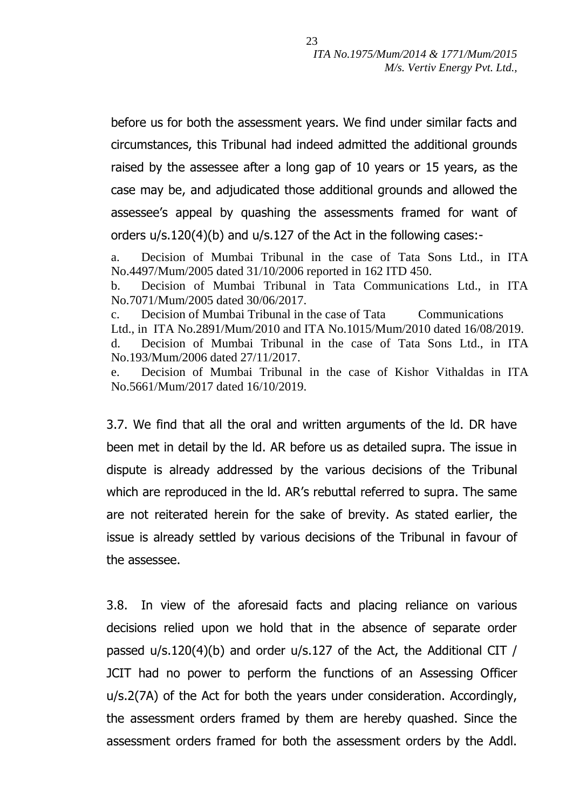before us for both the assessment years. We find under similar facts and circumstances, this Tribunal had indeed admitted the additional grounds raised by the assessee after a long gap of 10 years or 15 years, as the case may be, and adjudicated those additional grounds and allowed the assessee"s appeal by quashing the assessments framed for want of orders u/s.120(4)(b) and u/s.127 of the Act in the following cases:-

a. Decision of Mumbai Tribunal in the case of Tata Sons Ltd., in ITA No.4497/Mum/2005 dated 31/10/2006 reported in 162 ITD 450.

b. Decision of Mumbai Tribunal in Tata Communications Ltd., in ITA No.7071/Mum/2005 dated 30/06/2017.

c. Decision of Mumbai Tribunal in the case of Tata Communications Ltd., in ITA No.2891/Mum/2010 and ITA No.1015/Mum/2010 dated 16/08/2019. d. Decision of Mumbai Tribunal in the case of Tata Sons Ltd., in ITA No.193/Mum/2006 dated 27/11/2017.

e. Decision of Mumbai Tribunal in the case of Kishor Vithaldas in ITA No.5661/Mum/2017 dated 16/10/2019.

3.7. We find that all the oral and written arguments of the ld. DR have been met in detail by the ld. AR before us as detailed supra. The issue in dispute is already addressed by the various decisions of the Tribunal which are reproduced in the Id. AR's rebuttal referred to supra. The same are not reiterated herein for the sake of brevity. As stated earlier, the issue is already settled by various decisions of the Tribunal in favour of the assessee.

3.8. In view of the aforesaid facts and placing reliance on various decisions relied upon we hold that in the absence of separate order passed u/s.120(4)(b) and order u/s.127 of the Act, the Additional CIT / JCIT had no power to perform the functions of an Assessing Officer u/s.2(7A) of the Act for both the years under consideration. Accordingly, the assessment orders framed by them are hereby quashed. Since the assessment orders framed for both the assessment orders by the Addl.